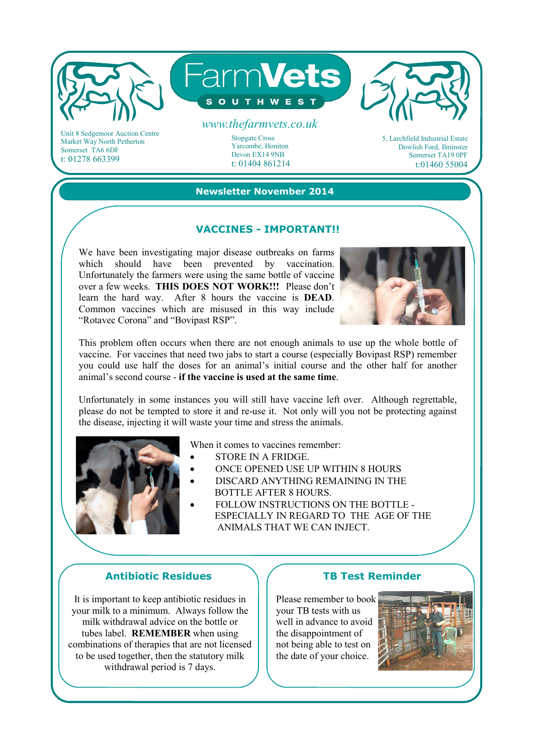

Market Way North Petherton Somerset TA6 6DF t: 01278 663399

## t: 01404 861214 **Newsletter November 2014**

Yarcombe, Honiton Devon EX14 9NB

#### **VACCINES - IMPORTANT!!**

We have been investigating major disease outbreaks on farms which should have been prevented by vaccination. Unfortunately the farmers were using the same bottle of vaccine over a few weeks. **THIS DOES NOT WORK!!!** Please don't learn the hard way. After 8 hours the vaccine is **DEAD**. Common vaccines which are misused in this way include "Rotavec Corona" and "Bovipast RSP".



Dowlish Ford, Ilminster Somerset TA19 0PF t:01460 55004

This problem often occurs when there are not enough animals to use up the whole bottle of vaccine. For vaccines that need two jabs to start a course (especially Bovipast RSP) remember you could use half the doses for an animal's initial course and the other half for another animal's second course - **if the vaccine is used at the same time**.

Unfortunately in some instances you will still have vaccine left over. Although regrettable, please do not be tempted to store it and re-use it. Not only will you not be protecting against the disease, injecting it will waste your time and stress the animals.



When it comes to vaccines remember:

- STORE IN A FRIDGE.
- ONCE OPENED USE UP WITHIN 8 HOURS
- DISCARD ANYTHING REMAINING IN THE BOTTLE AFTER 8 HOURS.
- FOLLOW INSTRUCTIONS ON THE BOTTLE ESPECIALLY IN REGARD TO THE AGE OF THE ANIMALS THAT WE CAN INJECT.

#### **Antibiotic Residues**

It is important to keep antibiotic residues in your milk to a minimum. Always follow the milk withdrawal advice on the bottle or tubes label. **REMEMBER** when using combinations of therapies that are not licensed to be used together, then the statutory milk withdrawal period is 7 days.

#### **TB Test Reminder**

Please remember to book your TB tests with us well in advance to avoid the disappointment of not being able to test on the date of your choice.